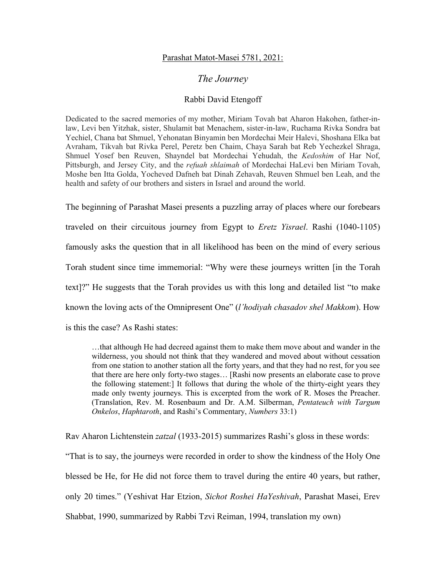## Parashat Matot-Masei 5781, 2021:

## *The Journey*

## Rabbi David Etengoff

Dedicated to the sacred memories of my mother, Miriam Tovah bat Aharon Hakohen, father-inlaw, Levi ben Yitzhak, sister, Shulamit bat Menachem, sister-in-law, Ruchama Rivka Sondra bat Yechiel, Chana bat Shmuel, Yehonatan Binyamin ben Mordechai Meir Halevi, Shoshana Elka bat Avraham, Tikvah bat Rivka Perel, Peretz ben Chaim, Chaya Sarah bat Reb Yechezkel Shraga, Shmuel Yosef ben Reuven, Shayndel bat Mordechai Yehudah, the *Kedoshim* of Har Nof, Pittsburgh, and Jersey City, and the *refuah shlaimah* of Mordechai HaLevi ben Miriam Tovah, Moshe ben Itta Golda, Yocheved Dafneh bat Dinah Zehavah, Reuven Shmuel ben Leah, and the health and safety of our brothers and sisters in Israel and around the world.

The beginning of Parashat Masei presents a puzzling array of places where our forebears traveled on their circuitous journey from Egypt to *Eretz Yisrael*. Rashi (1040-1105) famously asks the question that in all likelihood has been on the mind of every serious Torah student since time immemorial: "Why were these journeys written [in the Torah text]?" He suggests that the Torah provides us with this long and detailed list "to make known the loving acts of the Omnipresent One" (*l'hodiyah chasadov shel Makkom*). How is this the case? As Rashi states:

…that although He had decreed against them to make them move about and wander in the wilderness, you should not think that they wandered and moved about without cessation from one station to another station all the forty years, and that they had no rest, for you see that there are here only forty-two stages… [Rashi now presents an elaborate case to prove the following statement:] It follows that during the whole of the thirty-eight years they made only twenty journeys. This is excerpted from the work of R. Moses the Preacher. (Translation, Rev. M. Rosenbaum and Dr. A.M. Silberman, *Pentateuch with Targum Onkelos*, *Haphtaroth*, and Rashi's Commentary, *Numbers* 33:1)

Rav Aharon Lichtenstein *zatzal* (1933-2015) summarizes Rashi's gloss in these words: "That is to say, the journeys were recorded in order to show the kindness of the Holy One blessed be He, for He did not force them to travel during the entire 40 years, but rather, only 20 times." (Yeshivat Har Etzion, *Sichot Roshei HaYeshivah*, Parashat Masei, Erev Shabbat, 1990, summarized by Rabbi Tzvi Reiman, 1994, translation my own)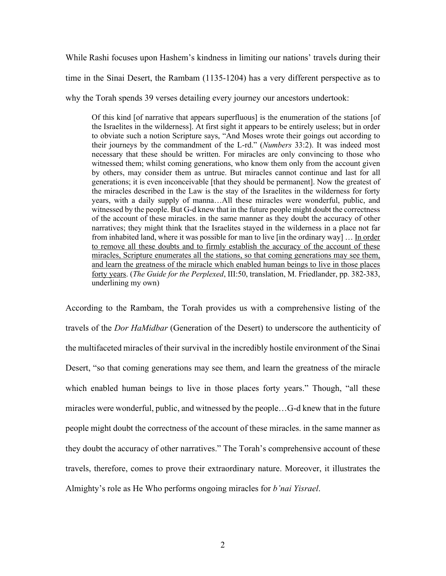While Rashi focuses upon Hashem's kindness in limiting our nations' travels during their time in the Sinai Desert, the Rambam (1135-1204) has a very different perspective as to why the Torah spends 39 verses detailing every journey our ancestors undertook:

Of this kind [of narrative that appears superfluous] is the enumeration of the stations [of the Israelites in the wilderness]. At first sight it appears to be entirely useless; but in order to obviate such a notion Scripture says, "And Moses wrote their goings out according to their journeys by the commandment of the L-rd." (*Numbers* 33:2). It was indeed most necessary that these should be written. For miracles are only convincing to those who witnessed them; whilst coming generations, who know them only from the account given by others, may consider them as untrue. But miracles cannot continue and last for all generations; it is even inconceivable [that they should be permanent]. Now the greatest of the miracles described in the Law is the stay of the Israelites in the wilderness for forty years, with a daily supply of manna…All these miracles were wonderful, public, and witnessed by the people. But G-d knew that in the future people might doubt the correctness of the account of these miracles. in the same manner as they doubt the accuracy of other narratives; they might think that the Israelites stayed in the wilderness in a place not far from inhabited land, where it was possible for man to live [in the ordinary way] … In order to remove all these doubts and to firmly establish the accuracy of the account of these miracles, Scripture enumerates all the stations, so that coming generations may see them, and learn the greatness of the miracle which enabled human beings to live in those places forty years. (*The Guide for the Perplexed*, III:50, translation, M. Friedlander, pp. 382-383, underlining my own)

According to the Rambam, the Torah provides us with a comprehensive listing of the travels of the *Dor HaMidbar* (Generation of the Desert) to underscore the authenticity of the multifaceted miracles of their survival in the incredibly hostile environment of the Sinai Desert, "so that coming generations may see them, and learn the greatness of the miracle which enabled human beings to live in those places forty years." Though, "all these miracles were wonderful, public, and witnessed by the people…G-d knew that in the future people might doubt the correctness of the account of these miracles. in the same manner as they doubt the accuracy of other narratives." The Torah's comprehensive account of these travels, therefore, comes to prove their extraordinary nature. Moreover, it illustrates the Almighty's role as He Who performs ongoing miracles for *b'nai Yisrael*.